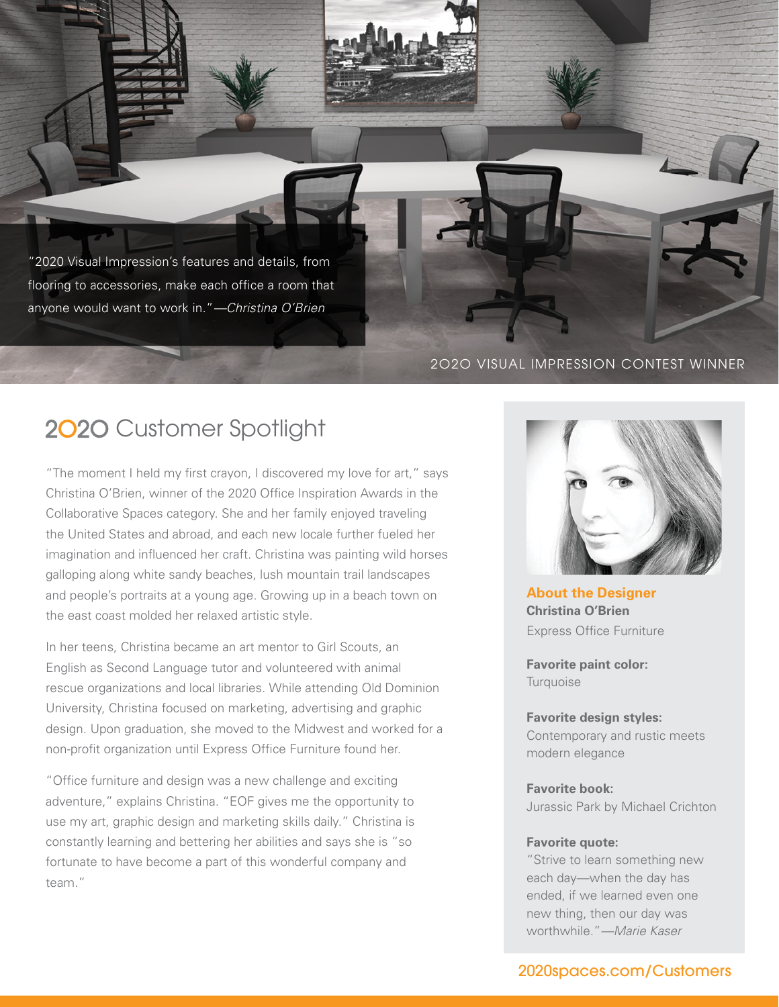"2020 Visual Impression's features and details, from flooring to accessories, make each office a room that anyone would want to work in."—Christina O'Brien

#### 2O2O VISUAL IMPRESSION CONTEST WINNER

# 2020 Customer Spotlight

"The moment I held my first crayon, I discovered my love for art," says Christina O'Brien, winner of the 2020 Office Inspiration Awards in the Collaborative Spaces category. She and her family enjoyed traveling the United States and abroad, and each new locale further fueled her imagination and influenced her craft. Christina was painting wild horses galloping along white sandy beaches, lush mountain trail landscapes and people's portraits at a young age. Growing up in a beach town on the east coast molded her relaxed artistic style.

In her teens, Christina became an art mentor to Girl Scouts, an English as Second Language tutor and volunteered with animal rescue organizations and local libraries. While attending Old Dominion University, Christina focused on marketing, advertising and graphic design. Upon graduation, she moved to the Midwest and worked for a non-profit organization until Express Office Furniture found her.

"Office furniture and design was a new challenge and exciting adventure," explains Christina. "EOF gives me the opportunity to use my art, graphic design and marketing skills daily." Christina is constantly learning and bettering her abilities and says she is "so fortunate to have become a part of this wonderful company and team."



**About the Designer Christina O'Brien** Express Office Furniture

**Favorite paint color: Turquoise** 

### **Favorite design styles:**  Contemporary and rustic meets modern elegance

**Favorite book:**  Jurassic Park by Michael Crichton

#### **Favorite quote:**

"Strive to learn something new each day—when the day has ended, if we learned even one new thing, then our day was worthwhile."—Marie Kaser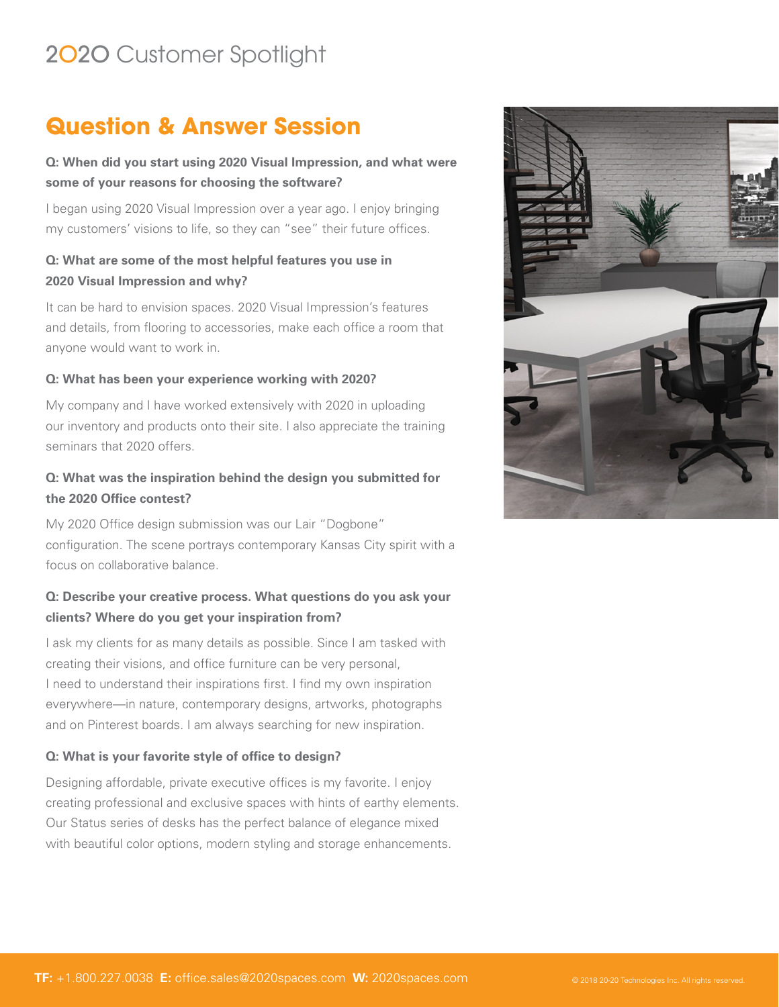# 2O2O Customer Spotlight

# **Question & Answer Session**

# **Q: When did you start using 2020 Visual Impression, and what were some of your reasons for choosing the software?**

I began using 2020 Visual Impression over a year ago. I enjoy bringing my customers' visions to life, so they can "see" their future offices.

# **Q: What are some of the most helpful features you use in 2020 Visual Impression and why?**

It can be hard to envision spaces. 2020 Visual Impression's features and details, from flooring to accessories, make each office a room that anyone would want to work in.

#### **Q: What has been your experience working with 2020?**

My company and I have worked extensively with 2020 in uploading our inventory and products onto their site. I also appreciate the training seminars that 2020 offers.

### **Q: What was the inspiration behind the design you submitted for the 2020 Office contest?**

My 2020 Office design submission was our Lair "Dogbone" configuration. The scene portrays contemporary Kansas City spirit with a focus on collaborative balance.

### **Q: Describe your creative process. What questions do you ask your clients? Where do you get your inspiration from?**

I ask my clients for as many details as possible. Since I am tasked with creating their visions, and office furniture can be very personal, I need to understand their inspirations first. I find my own inspiration everywhere—in nature, contemporary designs, artworks, photographs and on Pinterest boards. I am always searching for new inspiration.

### **Q: What is your favorite style of office to design?**

Designing affordable, private executive offices is my favorite. I enjoy creating professional and exclusive spaces with hints of earthy elements. Our Status series of desks has the perfect balance of elegance mixed with beautiful color options, modern styling and storage enhancements.